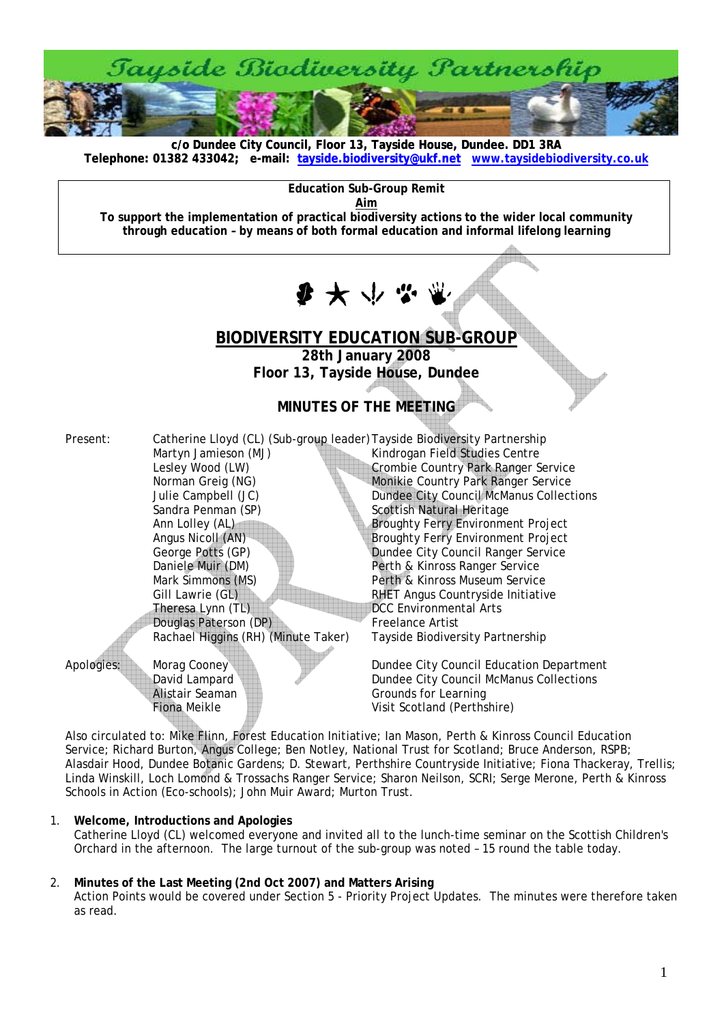

**c/o Dundee City Council, Floor 13, Tayside House, Dundee. DD1 3RA [Telephone: 01382 433042; e-mail: tayside.biodiversity@ukf.net](mailto:tayside.biodiversity@ukf.net) www.taysidebiodiversity.co.u[k](http://www.taysidebiodiversity.co.uk/)**

**Education Sub-Group Remit** 

**Aim**

**To support the implementation of practical biodiversity actions to the wider local community through education – by means of both formal education and informal lifelong learning** 

 $\mathbf{F} \times \mathbf{F}$ 

# **BIODIVERSITY EDUCATION SUB-GROUP**

**28th January 2008 Floor 13, Tayside House, Dundee** 

## **MINUTES OF THE MEETING**

Present: Catherine Lloyd (CL) (Sub-group leader) Tayside Biodiversity Partnership Martyn Jamieson (MJ) Kindrogan Field Studies Centre Lesley Wood (LW) Crombie Country Park Ranger Service Norman Greig (NG) Monikie Country Park Ranger Service Julie Campbell (JC) Dundee City Council McManus Collections Sandra Penman (SP) Scottish Natural Heritage Ann Lolley (AL) Broughty Ferry Environment Project Angus Nicoll (AN) Broughty Ferry Environment Project<br>George Potts (GP) Bundee City Council Ranger Service Daniele Muir (DM) Perth & Kinross Ranger Service Mark Simmons (MS) Perth & Kinross Museum Service Gill Lawrie (GL) **RHET Angus Countryside Initiative** Theresa Lynn (TL) CC Environmental Arts Douglas Paterson (DP) Freelance Artist Rachael Higgins (RH) (Minute Taker)

Dundee City Council Ranger Service

Apologies: Morag Cooney Dundee City Council Education Department David Lampard **Dundee City Council McManus Collections** Alistair Seaman **Communist Communist Communist Communist Communist Communist Communist Communist Communist Communist Communist Communist Communist Communist Communist Communist Communist Communist Communist Communist Commu** Fiona Meikle **Visit Scotland (Perthshire)** 

Also circulated to: Mike Flinn, Forest Education Initiative; Ian Mason, Perth & Kinross Council Education Service; Richard Burton, Angus College; Ben Notley, National Trust for Scotland; Bruce Anderson, RSPB; Alasdair Hood, Dundee Botanic Gardens; D. Stewart, Perthshire Countryside Initiative; Fiona Thackeray, Trellis; Linda Winskill, Loch Lomond & Trossachs Ranger Service; Sharon Neilson, SCRI; Serge Merone, Perth & Kinross Schools in Action (Eco-schools); John Muir Award; Murton Trust.

## 1. **Welcome, Introductions and Apologies**

Catherine Lloyd (CL) welcomed everyone and invited all to the lunch-time seminar on the Scottish Children's Orchard in the afternoon. The large turnout of the sub-group was noted – 15 round the table today.

## 2. **Minutes of the Last Meeting (2nd Oct 2007) and Matters Arising**

Action Points would be covered under Section 5 - Priority Project Updates. The minutes were therefore taken as read.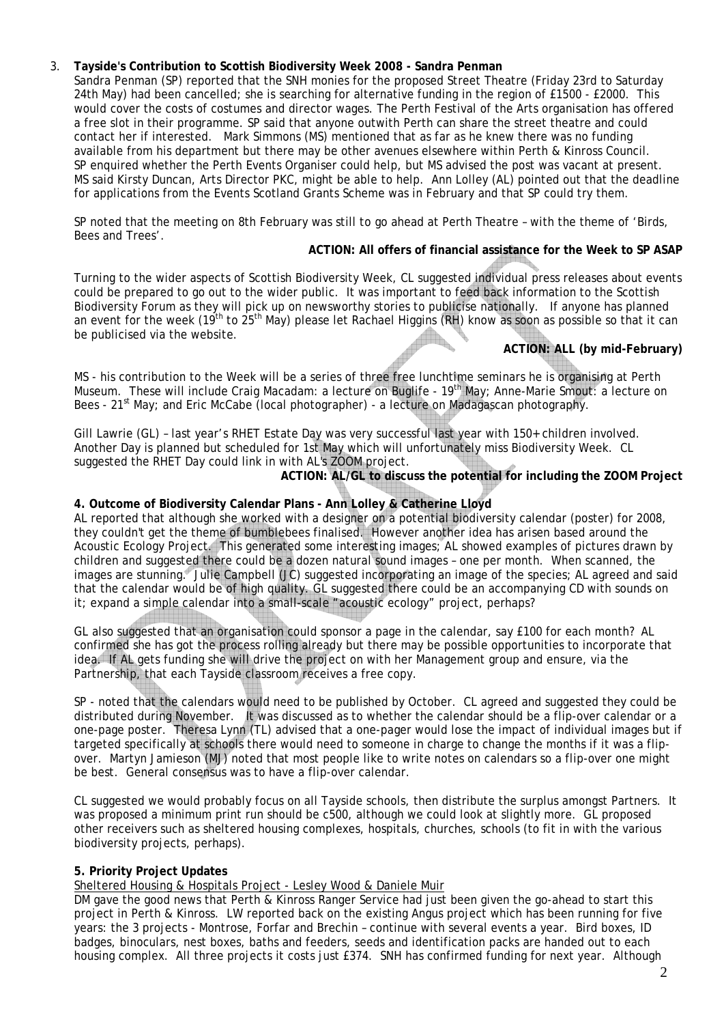## 3. **Tayside's Contribution to Scottish Biodiversity Week 2008 - Sandra Penman**

Sandra Penman (SP) reported that the SNH monies for the proposed Street Theatre (Friday 23rd to Saturday 24th May) had been cancelled; she is searching for alternative funding in the region of £1500 - £2000. This would cover the costs of costumes and director wages. The Perth Festival of the Arts organisation has offered a free slot in their programme. SP said that anyone outwith Perth can share the street theatre and could contact her if interested. Mark Simmons (MS) mentioned that as far as he knew there was no funding available from his department but there may be other avenues elsewhere within Perth & Kinross Council. SP enquired whether the Perth Events Organiser could help, but MS advised the post was vacant at present. MS said Kirsty Duncan, Arts Director PKC, might be able to help. Ann Lolley (AL) pointed out that the deadline for applications from the Events Scotland Grants Scheme was in February and that SP could try them.

SP noted that the meeting on 8th February was still to go ahead at Perth Theatre – with the theme of 'Birds, Bees and Trees'.

#### **ACTION: All offers of financial assistance for the Week to SP ASAP**

Turning to the wider aspects of Scottish Biodiversity Week, CL suggested individual press releases about events could be prepared to go out to the wider public. It was important to feed back information to the Scottish Biodiversity Forum as they will pick up on newsworthy stories to publicise nationally. If anyone has planned an event for the week (19<sup>th</sup> to 25<sup>th</sup> May) please let Rachael Higgins (RH) know as soon as possible so that it can be publicised via the website.

## **ACTION: ALL (by mid-February)**

MS - his contribution to the Week will be a series of three free lunchtime seminars he is organising at Perth Museum. These will include Craig Macadam: a lecture on Buglife - 19<sup>th</sup> May; Anne-Marie Smout: a lecture on Bees - 21<sup>st</sup> May; and Eric McCabe (local photographer) - a lecture on Madagascan photography.

Gill Lawrie (GL) – last year's RHET Estate Day was very successful last year with 150+ children involved. Another Day is planned but scheduled for 1st May which will unfortunately miss Biodiversity Week. CL suggested the RHET Day could link in with AL's ZOOM project.

**ACTION: AL/GL to discuss the potential for including the ZOOM Project** 

### **4. Outcome of Biodiversity Calendar Plans - Ann Lolley & Catherine Lloyd**

AL reported that although she worked with a designer on a potential biodiversity calendar (poster) for 2008, they couldn't get the theme of bumblebees finalised. However another idea has arisen based around the Acoustic Ecology Project. This generated some interesting images; AL showed examples of pictures drawn by children and suggested there could be a dozen natural sound images – one per month. When scanned, the images are stunning. Julie Campbell (JC) suggested incorporating an image of the species; AL agreed and said that the calendar would be of high quality. GL suggested there could be an accompanying CD with sounds on it; expand a simple calendar into a small-scale "acoustic ecology" project, perhaps?

GL also suggested that an organisation could sponsor a page in the calendar, say £100 for each month? AL confirmed she has got the process rolling already but there may be possible opportunities to incorporate that idea. If AL gets funding she will drive the project on with her Management group and ensure, via the Partnership, that each Tayside classroom receives a free copy.

SP - noted that the calendars would need to be published by October. CL agreed and suggested they could be distributed during November. It was discussed as to whether the calendar should be a flip-over calendar or a one-page poster. Theresa Lynn (TL) advised that a one-pager would lose the impact of individual images but if targeted specifically at schools there would need to someone in charge to change the months if it was a flipover. Martyn Jamieson (MJ) noted that most people like to write notes on calendars so a flip-over one might be best. General consensus was to have a flip-over calendar.

CL suggested we would probably focus on all Tayside schools, then distribute the surplus amongst Partners. It was proposed a minimum print run should be c500, although we could look at slightly more. GL proposed other receivers such as sheltered housing complexes, hospitals, churches, schools (to fit in with the various biodiversity projects, perhaps).

#### **5. Priority Project Updates**

Sheltered Housing & Hospitals Project - Lesley Wood & Daniele Muir

DM gave the good news that Perth & Kinross Ranger Service had just been given the go-ahead to start this project in Perth & Kinross. LW reported back on the existing Angus project which has been running for five years: the 3 projects - Montrose, Forfar and Brechin – continue with several events a year. Bird boxes, ID badges, binoculars, nest boxes, baths and feeders, seeds and identification packs are handed out to each housing complex. All three projects it costs just £374. SNH has confirmed funding for next year. Although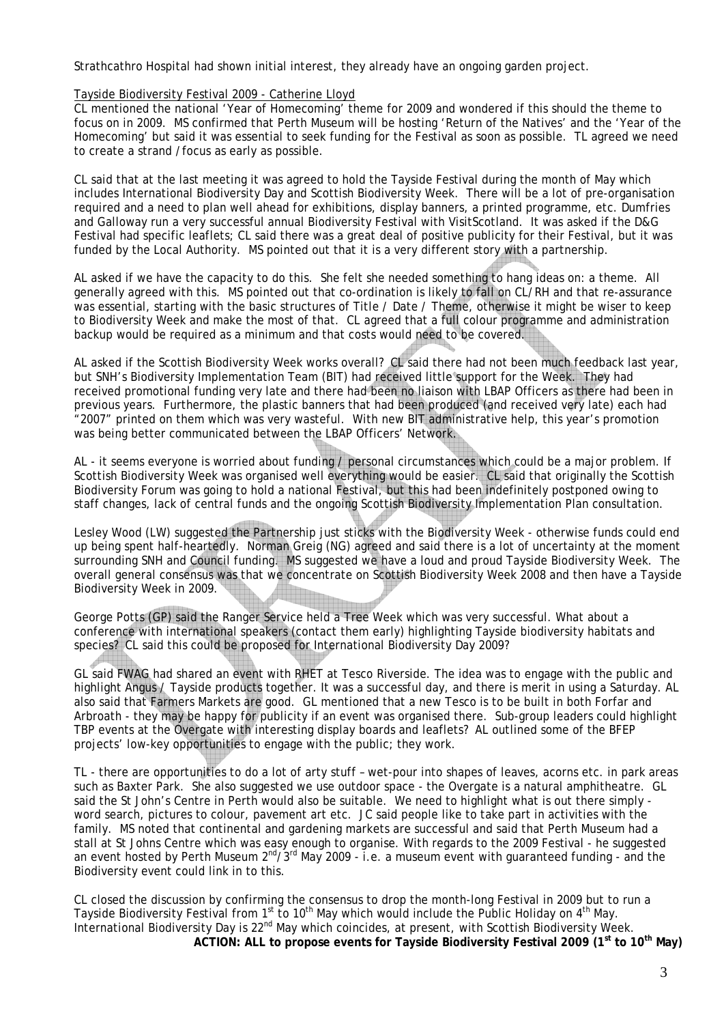Strathcathro Hospital had shown initial interest, they already have an ongoing garden project.

#### Tayside Biodiversity Festival 2009 - Catherine Lloyd

CL mentioned the national 'Year of Homecoming' theme for 2009 and wondered if this should the theme to focus on in 2009. MS confirmed that Perth Museum will be hosting 'Return of the Natives' and the 'Year of the Homecoming' but said it was essential to seek funding for the Festival as soon as possible. TL agreed we need to create a strand /focus as early as possible.

CL said that at the last meeting it was agreed to hold the Tayside Festival during the month of May which includes International Biodiversity Day and Scottish Biodiversity Week. There will be a lot of pre-organisation required and a need to plan well ahead for exhibitions, display banners, a printed programme, etc. Dumfries and Galloway run a very successful annual Biodiversity Festival with VisitScotland. It was asked if the D&G Festival had specific leaflets; CL said there was a great deal of positive publicity for their Festival, but it was funded by the Local Authority. MS pointed out that it is a very different story with a partnership.

AL asked if we have the capacity to do this. She felt she needed something to hang ideas on: a theme. All generally agreed with this. MS pointed out that co-ordination is likely to fall on CL/RH and that re-assurance was essential, starting with the basic structures of Title / Date / Theme, otherwise it might be wiser to keep to Biodiversity Week and make the most of that. CL agreed that a full colour programme and administration backup would be required as a minimum and that costs would need to be covered.

AL asked if the Scottish Biodiversity Week works overall? CL said there had not been much feedback last year, but SNH's Biodiversity Implementation Team (BIT) had received little support for the Week. They had received promotional funding very late and there had been no liaison with LBAP Officers as there had been in previous years. Furthermore, the plastic banners that had been produced (and received very late) each had "2007" printed on them which was very wasteful. With new BIT administrative help, this year's promotion was being better communicated between the LBAP Officers' Network.

AL - it seems everyone is worried about funding / personal circumstances which could be a major problem. If Scottish Biodiversity Week was organised well everything would be easier. CL said that originally the Scottish Biodiversity Forum was going to hold a national Festival, but this had been indefinitely postponed owing to staff changes, lack of central funds and the ongoing Scottish Biodiversity Implementation Plan consultation.

Lesley Wood (LW) suggested the Partnership just sticks with the Biodiversity Week - otherwise funds could end up being spent half-heartedly. Norman Greig (NG) agreed and said there is a lot of uncertainty at the moment surrounding SNH and Council funding. MS suggested we have a loud and proud Tayside Biodiversity Week. The overall general consensus was that we concentrate on Scottish Biodiversity Week 2008 and then have a Tayside Biodiversity Week in 2009.

George Potts (GP) said the Ranger Service held a Tree Week which was very successful. What about a conference with international speakers (contact them early) highlighting Tayside biodiversity habitats and species? CL said this could be proposed for International Biodiversity Day 2009?

GL said FWAG had shared an event with RHET at Tesco Riverside. The idea was to engage with the public and highlight Angus / Tayside products together. It was a successful day, and there is merit in using a Saturday. AL also said that Farmers Markets are good. GL mentioned that a new Tesco is to be built in both Forfar and Arbroath - they may be happy for publicity if an event was organised there. Sub-group leaders could highlight TBP events at the Overgate with interesting display boards and leaflets? AL outlined some of the BFEP projects' low-key opportunities to engage with the public; they work.

TL - there are opportunities to do a lot of arty stuff – wet-pour into shapes of leaves, acorns etc. in park areas such as Baxter Park. She also suggested we use outdoor space - the Overgate is a natural amphitheatre. GL said the St John's Centre in Perth would also be suitable. We need to highlight what is out there simply word search, pictures to colour, pavement art etc. JC said people like to take part in activities with the family. MS noted that continental and gardening markets are successful and said that Perth Museum had a stall at St Johns Centre which was easy enough to organise. With regards to the 2009 Festival - he suggested an event hosted by Perth Museum  $2^{nd}/3^{rd}$  May 2009 - i.e. a museum event with guaranteed funding - and the Biodiversity event could link in to this.

CL closed the discussion by confirming the consensus to drop the month-long Festival in 2009 but to run a Tayside Biodiversity Festival from 1<sup>st</sup> to 10<sup>th</sup> May which would include the Public Holiday on 4<sup>th</sup> May. International Biodiversity Day is 22nd May which coincides, at present, with Scottish Biodiversity Week. ACTION: ALL to propose events for Tayside Biodiversity Festival 2009 (1<sup>st</sup> to 10<sup>th</sup> May)